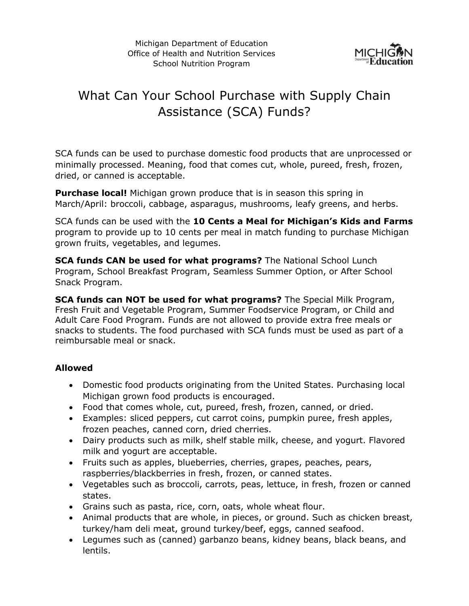

# What Can Your School Purchase with Supply Chain Assistance (SCA) Funds?

SCA funds can be used to purchase domestic food products that are unprocessed or minimally processed. Meaning, food that comes cut, whole, pureed, fresh, frozen, dried, or canned is acceptable.

**Purchase local!** Michigan grown produce that is in season this spring in March/April: broccoli, cabbage, asparagus, mushrooms, leafy greens, and herbs.

SCA funds can be used with the **10 Cents a Meal for Michigan's Kids and Farms** program to provide up to 10 cents per meal in match funding to purchase Michigan grown fruits, vegetables, and legumes.

**SCA funds CAN be used for what programs?** The National School Lunch Program, School Breakfast Program, Seamless Summer Option, or After School Snack Program.

**SCA funds can NOT be used for what programs?** The Special Milk Program, Fresh Fruit and Vegetable Program, Summer Foodservice Program, or Child and Adult Care Food Program. Funds are not allowed to provide extra free meals or snacks to students. The food purchased with SCA funds must be used as part of a reimbursable meal or snack.

## **Allowed**

- Domestic food products originating from the United States. Purchasing local Michigan grown food products is encouraged.
- Food that comes whole, cut, pureed, fresh, frozen, canned, or dried.
- Examples: sliced peppers, cut carrot coins, pumpkin puree, fresh apples, frozen peaches, canned corn, dried cherries.
- Dairy products such as milk, shelf stable milk, cheese, and yogurt. Flavored milk and yogurt are acceptable.
- Fruits such as apples, blueberries, cherries, grapes, peaches, pears, raspberries/blackberries in fresh, frozen, or canned states.
- Vegetables such as broccoli, carrots, peas, lettuce, in fresh, frozen or canned states.
- Grains such as pasta, rice, corn, oats, whole wheat flour.
- Animal products that are whole, in pieces, or ground. Such as chicken breast, turkey/ham deli meat, ground turkey/beef, eggs, canned seafood.
- Legumes such as (canned) garbanzo beans, kidney beans, black beans, and lentils.